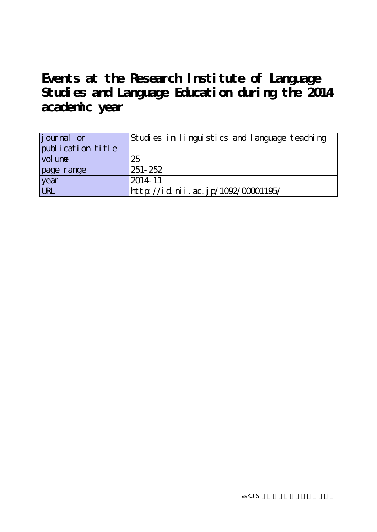**Events at the Research Institute of Language Studies and Language Education during the 2014 academic year**

| <i>j</i> ournal or | Studies in linguistics and language teaching |
|--------------------|----------------------------------------------|
| publication title  |                                              |
| vol une            | 25                                           |
| page range         | 251-252                                      |
| year<br>URL        | $2014 - 11$                                  |
|                    | http://id.nii.ac.jp/1092/00001195/           |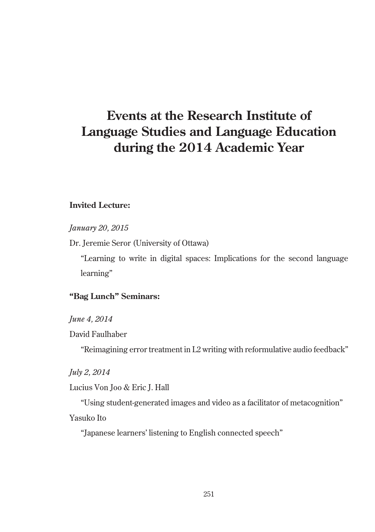# **Events at the Research Institute of Language Studies and Language Education during the 2014 Academic Year**

## **Invited Lecture:**

*January 20, 2015*

Dr. Jeremie Seror (University of Ottawa)

"Learning to write in digital spaces: Implications for the second language learning"

## **"Bag Lunch" Seminars:**

*June 4, 2014*

David Faulhaber

"Reimagining error treatment in L2 writing with reformulative audio feedback"

*July 2, 2014*

Lucius Von Joo & Eric J. Hall

"Using student-generated images and video as a facilitator of metacognition" Yasuko Ito

"Japanese learners' listening to English connected speech"